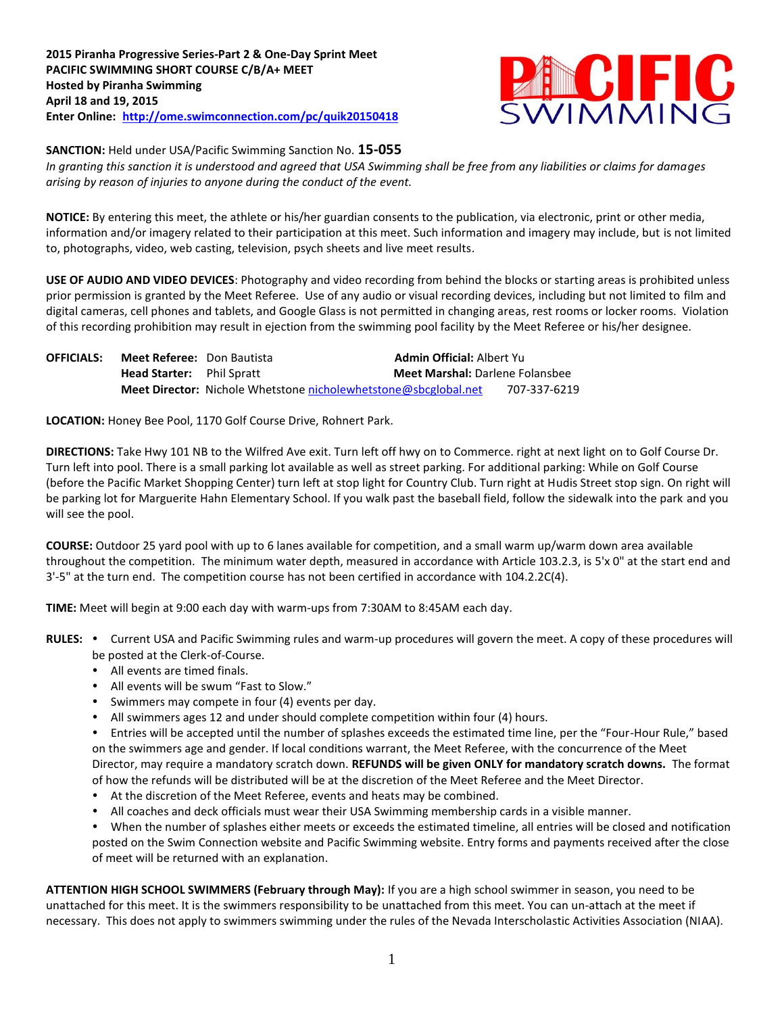

**SANCTION:** Held under USA/Pacific Swimming Sanction No. **15-055**

*In granting this sanction it is understood and agreed that USA Swimming shall be free from any liabilities or claims for damages arising by reason of injuries to anyone during the conduct of the event.*

**NOTICE:** By entering this meet, the athlete or his/her guardian consents to the publication, via electronic, print or other media, information and/or imagery related to their participation at this meet. Such information and imagery may include, but is not limited to, photographs, video, web casting, television, psych sheets and live meet results.

**USE OF AUDIO AND VIDEO DEVICES**: Photography and video recording from behind the blocks or starting areas is prohibited unless prior permission is granted by the Meet Referee. Use of any audio or visual recording devices, including but not limited to film and digital cameras, cell phones and tablets, and Google Glass is not permitted in changing areas, rest rooms or locker rooms. Violation of this recording prohibition may result in ejection from the swimming pool facility by the Meet Referee or his/her designee.

| <b>OFFICIALS:</b> | <b>Meet Referee:</b> Don Bautista |                                                                        | <b>Admin Official: Albert Yu</b>       |              |
|-------------------|-----------------------------------|------------------------------------------------------------------------|----------------------------------------|--------------|
|                   | <b>Head Starter:</b> Phil Spratt  |                                                                        | <b>Meet Marshal: Darlene Folansbee</b> |              |
|                   |                                   | <b>Meet Director:</b> Nichole Whetstone nicholewhetstone@sbcglobal.net |                                        | 707-337-6219 |

**LOCATION:** Honey Bee Pool, 1170 Golf Course Drive, Rohnert Park.

**DIRECTIONS:** Take Hwy 101 NB to the Wilfred Ave exit. Turn left off hwy on to Commerce. right at next light on to Golf Course Dr. Turn left into pool. There is a small parking lot available as well as street parking. For additional parking: While on Golf Course (before the Pacific Market Shopping Center) turn left at stop light for Country Club. Turn right at Hudis Street stop sign. On right will be parking lot for Marguerite Hahn Elementary School. If you walk past the baseball field, follow the sidewalk into the park and you will see the pool.

**COURSE:** Outdoor 25 yard pool with up to 6 lanes available for competition, and a small warm up/warm down area available throughout the competition. The minimum water depth, measured in accordance with Article 103.2.3, is 5'x 0" at the start end and 3'-5" at the turn end. The competition course has not been certified in accordance with 104.2.2C(4).

**TIME:** Meet will begin at 9:00 each day with warm-ups from 7:30AM to 8:45AM each day.

- RULES: . Current USA and Pacific Swimming rules and warm-up procedures will govern the meet. A copy of these procedures will be posted at the Clerk-of-Course.
	- All events are timed finals.
	- All events will be swum "Fast to Slow."
	- Swimmers may compete in four (4) events per day.
	- All swimmers ages 12 and under should complete competition within four (4) hours.

Entries will be accepted until the number of splashes exceeds the estimated time line, per the "Four-Hour Rule," based on the swimmers age and gender. If local conditions warrant, the Meet Referee, with the concurrence of the Meet Director, may require a mandatory scratch down. **REFUNDS will be given ONLY for mandatory scratch downs.** The format of how the refunds will be distributed will be at the discretion of the Meet Referee and the Meet Director.

- At the discretion of the Meet Referee, events and heats may be combined.
- All coaches and deck officials must wear their USA Swimming membership cards in a visible manner.

When the number of splashes either meets or exceeds the estimated timeline, all entries will be closed and notification posted on the Swim Connection website and Pacific Swimming website. Entry forms and payments received after the close of meet will be returned with an explanation.

**ATTENTION HIGH SCHOOL SWIMMERS (February through May):** If you are a high school swimmer in season, you need to be unattached for this meet. It is the swimmers responsibility to be unattached from this meet. You can un-attach at the meet if necessary. This does not apply to swimmers swimming under the rules of the Nevada Interscholastic Activities Association (NIAA).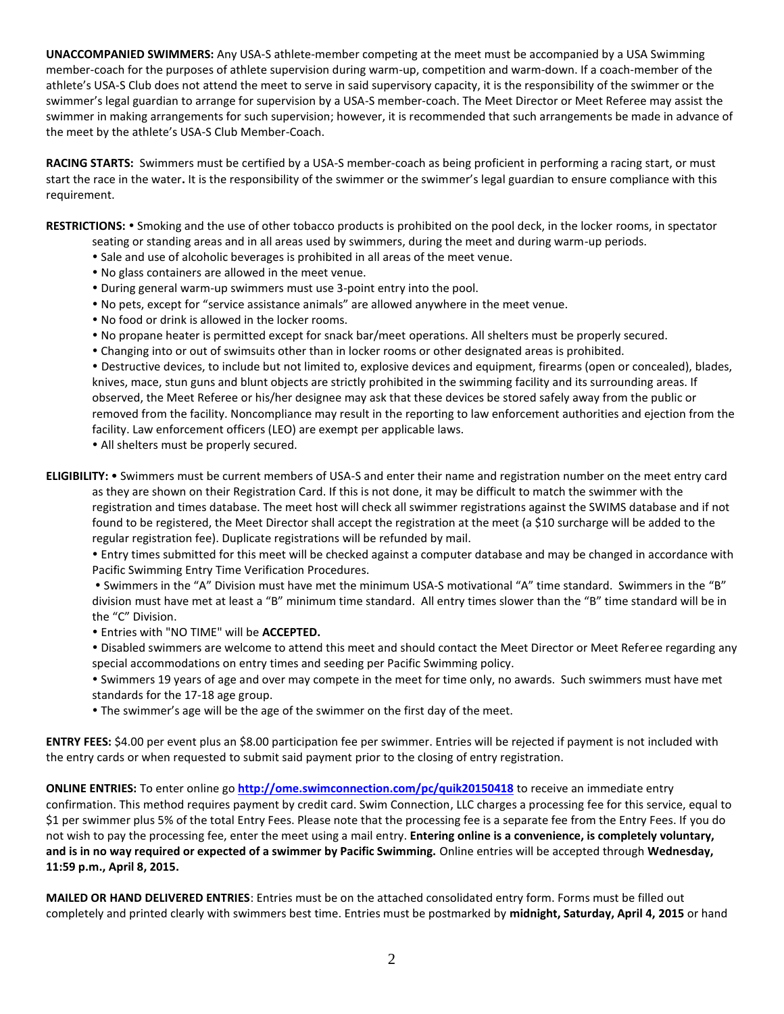**UNACCOMPANIED SWIMMERS:** Any USA-S athlete-member competing at the meet must be accompanied by a USA Swimming member-coach for the purposes of athlete supervision during warm-up, competition and warm-down. If a coach-member of the athlete's USA-S Club does not attend the meet to serve in said supervisory capacity, it is the responsibility of the swimmer or the swimmer's legal guardian to arrange for supervision by a USA-S member-coach. The Meet Director or Meet Referee may assist the swimmer in making arrangements for such supervision; however, it is recommended that such arrangements be made in advance of the meet by the athlete's USA-S Club Member-Coach.

**RACING STARTS:** Swimmers must be certified by a USA-S member-coach as being proficient in performing a racing start, or must start the race in the water**.** It is the responsibility of the swimmer or the swimmer's legal guardian to ensure compliance with this requirement.

RESTRICTIONS: • Smoking and the use of other tobacco products is prohibited on the pool deck, in the locker rooms, in spectator

- seating or standing areas and in all areas used by swimmers, during the meet and during warm-up periods.
- Sale and use of alcoholic beverages is prohibited in all areas of the meet venue.
- No glass containers are allowed in the meet venue.
- During general warm-up swimmers must use 3-point entry into the pool.
- No pets, except for "service assistance animals" are allowed anywhere in the meet venue.
- No food or drink is allowed in the locker rooms.
- No propane heater is permitted except for snack bar/meet operations. All shelters must be properly secured.
- Changing into or out of swimsuits other than in locker rooms or other designated areas is prohibited.

 Destructive devices, to include but not limited to, explosive devices and equipment, firearms (open or concealed), blades, knives, mace, stun guns and blunt objects are strictly prohibited in the swimming facility and its surrounding areas. If observed, the Meet Referee or his/her designee may ask that these devices be stored safely away from the public or removed from the facility. Noncompliance may result in the reporting to law enforcement authorities and ejection from the facility. Law enforcement officers (LEO) are exempt per applicable laws.

- All shelters must be properly secured.
- **ELIGIBILITY:** Swimmers must be current members of USA-S and enter their name and registration number on the meet entry card as they are shown on their Registration Card. If this is not done, it may be difficult to match the swimmer with the registration and times database. The meet host will check all swimmer registrations against the SWIMS database and if not found to be registered, the Meet Director shall accept the registration at the meet (a \$10 surcharge will be added to the regular registration fee). Duplicate registrations will be refunded by mail.

 Entry times submitted for this meet will be checked against a computer database and may be changed in accordance with Pacific Swimming Entry Time Verification Procedures.

 Swimmers in the "A" Division must have met the minimum USA-S motivational "A" time standard. Swimmers in the "B" division must have met at least a "B" minimum time standard. All entry times slower than the "B" time standard will be in the "C" Division.

Entries with "NO TIME" will be **ACCEPTED.**

- Disabled swimmers are welcome to attend this meet and should contact the Meet Director or Meet Referee regarding any special accommodations on entry times and seeding per Pacific Swimming policy.
- Swimmers 19 years of age and over may compete in the meet for time only, no awards. Such swimmers must have met standards for the 17-18 age group.
- The swimmer's age will be the age of the swimmer on the first day of the meet.

**ENTRY FEES:** \$4.00 per event plus an \$8.00 participation fee per swimmer. Entries will be rejected if payment is not included with the entry cards or when requested to submit said payment prior to the closing of entry registration.

**ONLINE ENTRIES:** To enter online go **<http://ome.swimconnection.com/pc/quik20150418>** to receive an immediate entry confirmation. This method requires payment by credit card. Swim Connection, LLC charges a processing fee for this service, equal to \$1 per swimmer plus 5% of the total Entry Fees. Please note that the processing fee is a separate fee from the Entry Fees. If you do not wish to pay the processing fee, enter the meet using a mail entry. **Entering online is a convenience, is completely voluntary, and is in no way required or expected of a swimmer by Pacific Swimming.** Online entries will be accepted through **Wednesday, 11:59 p.m., April 8, 2015.** 

**MAILED OR HAND DELIVERED ENTRIES**: Entries must be on the attached consolidated entry form. Forms must be filled out completely and printed clearly with swimmers best time. Entries must be postmarked by **midnight, Saturday, April 4, 2015** or hand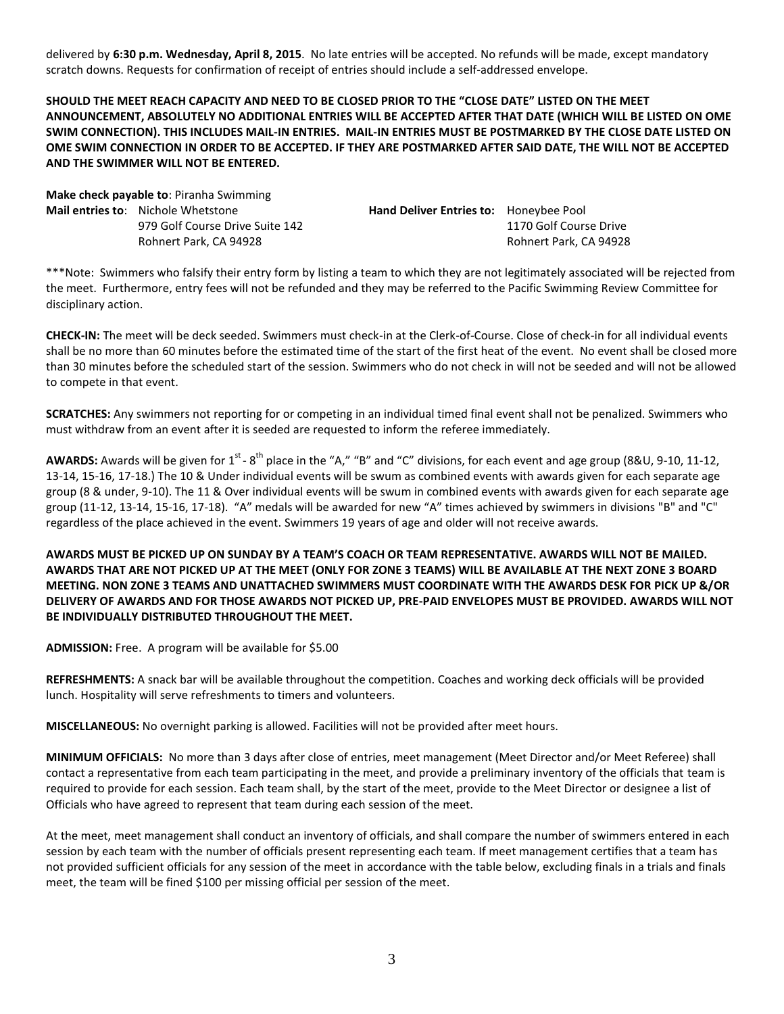delivered by **6:30 p.m. Wednesday, April 8, 2015**. No late entries will be accepted. No refunds will be made, except mandatory scratch downs. Requests for confirmation of receipt of entries should include a self-addressed envelope.

**SHOULD THE MEET REACH CAPACITY AND NEED TO BE CLOSED PRIOR TO THE "CLOSE DATE" LISTED ON THE MEET ANNOUNCEMENT, ABSOLUTELY NO ADDITIONAL ENTRIES WILL BE ACCEPTED AFTER THAT DATE (WHICH WILL BE LISTED ON OME SWIM CONNECTION). THIS INCLUDES MAIL-IN ENTRIES. MAIL-IN ENTRIES MUST BE POSTMARKED BY THE CLOSE DATE LISTED ON OME SWIM CONNECTION IN ORDER TO BE ACCEPTED. IF THEY ARE POSTMARKED AFTER SAID DATE, THE WILL NOT BE ACCEPTED AND THE SWIMMER WILL NOT BE ENTERED.**

**Make check payable to**: Piranha Swimming **Mail entries to**: Nichole Whetstone **Hand Deliver Entries to:** Honeybee Pool

979 Golf Course Drive Suite 142 1170 Golf Course Drive Rohnert Park, CA 94928 Rohnert Park, CA 94928

\*\*\*Note: Swimmers who falsify their entry form by listing a team to which they are not legitimately associated will be rejected from the meet. Furthermore, entry fees will not be refunded and they may be referred to the Pacific Swimming Review Committee for disciplinary action.

**CHECK-IN:** The meet will be deck seeded. Swimmers must check-in at the Clerk-of-Course. Close of check-in for all individual events shall be no more than 60 minutes before the estimated time of the start of the first heat of the event. No event shall be closed more than 30 minutes before the scheduled start of the session. Swimmers who do not check in will not be seeded and will not be allowed to compete in that event.

**SCRATCHES:** Any swimmers not reporting for or competing in an individual timed final event shall not be penalized. Swimmers who must withdraw from an event after it is seeded are requested to inform the referee immediately.

AWARDS: Awards will be given for 1<sup>st</sup> - 8<sup>th</sup> place in the "A," "B" and "C" divisions, for each event and age group (8&U, 9-10, 11-12, 13-14, 15-16, 17-18.) The 10 & Under individual events will be swum as combined events with awards given for each separate age group (8 & under, 9-10). The 11 & Over individual events will be swum in combined events with awards given for each separate age group (11-12, 13-14, 15-16, 17-18). "A" medals will be awarded for new "A" times achieved by swimmers in divisions "B" and "C" regardless of the place achieved in the event. Swimmers 19 years of age and older will not receive awards.

**AWARDS MUST BE PICKED UP ON SUNDAY BY A TEAM'S COACH OR TEAM REPRESENTATIVE. AWARDS WILL NOT BE MAILED. AWARDS THAT ARE NOT PICKED UP AT THE MEET (ONLY FOR ZONE 3 TEAMS) WILL BE AVAILABLE AT THE NEXT ZONE 3 BOARD MEETING. NON ZONE 3 TEAMS AND UNATTACHED SWIMMERS MUST COORDINATE WITH THE AWARDS DESK FOR PICK UP &/OR DELIVERY OF AWARDS AND FOR THOSE AWARDS NOT PICKED UP, PRE-PAID ENVELOPES MUST BE PROVIDED. AWARDS WILL NOT BE INDIVIDUALLY DISTRIBUTED THROUGHOUT THE MEET.**

**ADMISSION:** Free. A program will be available for \$5.00

**REFRESHMENTS:** A snack bar will be available throughout the competition. Coaches and working deck officials will be provided lunch. Hospitality will serve refreshments to timers and volunteers.

**MISCELLANEOUS:** No overnight parking is allowed. Facilities will not be provided after meet hours.

**MINIMUM OFFICIALS:** No more than 3 days after close of entries, meet management (Meet Director and/or Meet Referee) shall contact a representative from each team participating in the meet, and provide a preliminary inventory of the officials that team is required to provide for each session. Each team shall, by the start of the meet, provide to the Meet Director or designee a list of Officials who have agreed to represent that team during each session of the meet.

At the meet, meet management shall conduct an inventory of officials, and shall compare the number of swimmers entered in each session by each team with the number of officials present representing each team. If meet management certifies that a team has not provided sufficient officials for any session of the meet in accordance with the table below, excluding finals in a trials and finals meet, the team will be fined \$100 per missing official per session of the meet.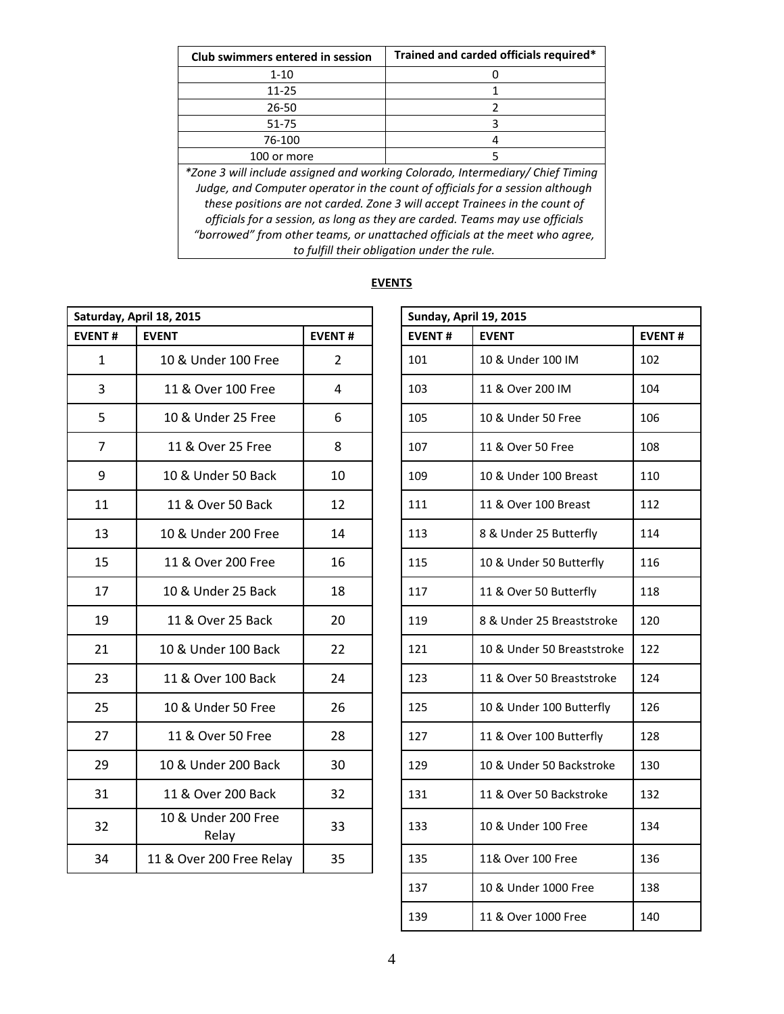| <b>Club swimmers entered in session</b>                                        | Trained and carded officials required* |  |  |  |  |  |  |
|--------------------------------------------------------------------------------|----------------------------------------|--|--|--|--|--|--|
| $1 - 10$                                                                       |                                        |  |  |  |  |  |  |
| $11 - 25$                                                                      |                                        |  |  |  |  |  |  |
| 26-50                                                                          | 2                                      |  |  |  |  |  |  |
| 51-75                                                                          | 3                                      |  |  |  |  |  |  |
| 76-100                                                                         | 4                                      |  |  |  |  |  |  |
| 100 or more                                                                    | 5                                      |  |  |  |  |  |  |
| *Zone 3 will include assigned and working Colorado, Intermediary/ Chief Timing |                                        |  |  |  |  |  |  |
| Judge, and Computer operator in the count of officials for a session although  |                                        |  |  |  |  |  |  |
| these positions are not carded. Zone 3 will accept Trainees in the count of    |                                        |  |  |  |  |  |  |
| officials for a session, as long as they are carded. Teams may use officials   |                                        |  |  |  |  |  |  |
| "borrowed" from other teams, or unattached officials at the meet who agree,    |                                        |  |  |  |  |  |  |
| to fulfill their obligation under the rule.                                    |                                        |  |  |  |  |  |  |

|                | Saturday, April 18, 2015     |                | Sunday, April 19, 2015 |                            |               |  |  |  |
|----------------|------------------------------|----------------|------------------------|----------------------------|---------------|--|--|--|
| <b>EVENT#</b>  | <b>EVENT</b>                 | <b>EVENT#</b>  | <b>EVENT#</b>          | <b>EVENT</b>               | <b>EVENT#</b> |  |  |  |
| $\mathbf{1}$   | 10 & Under 100 Free          | $\overline{2}$ | 101                    | 10 & Under 100 IM          | 102           |  |  |  |
| 3              | 11 & Over 100 Free           | 4              | 103                    | 11 & Over 200 IM           | 104           |  |  |  |
| 5              | 10 & Under 25 Free           | 6              | 105                    | 10 & Under 50 Free         | 106           |  |  |  |
| $\overline{7}$ | 11 & Over 25 Free            | 8              | 107                    | 11 & Over 50 Free          | 108           |  |  |  |
| 9              | 10 & Under 50 Back           | 10             | 109                    | 10 & Under 100 Breast      | 110           |  |  |  |
| 11             | 11 & Over 50 Back            | 12             | 111                    | 11 & Over 100 Breast       | 112           |  |  |  |
| 13             | 10 & Under 200 Free          | 14             | 113                    | 8 & Under 25 Butterfly     | 114           |  |  |  |
| 15             | 11 & Over 200 Free           | 16             | 115                    | 10 & Under 50 Butterfly    | 116           |  |  |  |
| 17             | 10 & Under 25 Back           | 18             | 117                    | 11 & Over 50 Butterfly     | 118           |  |  |  |
| 19             | 11 & Over 25 Back            | 20             | 119                    | 8 & Under 25 Breaststroke  | 120           |  |  |  |
| 21             | 10 & Under 100 Back          | 22             | 121                    | 10 & Under 50 Breaststroke | 122           |  |  |  |
| 23             | 11 & Over 100 Back           | 24             | 123                    | 11 & Over 50 Breaststroke  | 124           |  |  |  |
| 25             | 10 & Under 50 Free           | 26             | 125                    | 10 & Under 100 Butterfly   | 126           |  |  |  |
| 27             | 11 & Over 50 Free            | 28             | 127                    | 11 & Over 100 Butterfly    | 128           |  |  |  |
| 29             | 10 & Under 200 Back          | 30             | 129                    | 10 & Under 50 Backstroke   | 130           |  |  |  |
| 31             | 11 & Over 200 Back           | 32             | 131                    | 11 & Over 50 Backstroke    | 132           |  |  |  |
| 32             | 10 & Under 200 Free<br>Relay | 33             | 133                    | 10 & Under 100 Free        | 134           |  |  |  |
| 34             | 11 & Over 200 Free Relay     | 35             | 135                    | 11& Over 100 Free          | 136           |  |  |  |

## **EVENTS**

|                       |                | Sunday, April 19, 2015 |                            |               |  |  |
|-----------------------|----------------|------------------------|----------------------------|---------------|--|--|
|                       | <b>EVENT#</b>  | <b>EVENT#</b>          | <b>EVENT</b>               | <b>EVENT#</b> |  |  |
| der 100 Free          | $\overline{2}$ | 101                    | 10 & Under 100 IM          | 102           |  |  |
| ver 100 Free          | 4              | 103                    | 11 & Over 200 IM           | 104           |  |  |
| nder 25 Free          | 6              | 105                    | 10 & Under 50 Free         | 106           |  |  |
| ver 25 Free           | 8              | 107                    | 11 & Over 50 Free          | 108           |  |  |
| nder 50 Back          | 10             | 109                    | 10 & Under 100 Breast      | 110           |  |  |
| ver 50 Back           | 12             | 111                    | 11 & Over 100 Breast       | 112           |  |  |
| der 200 Free          | 14             | 113                    | 8 & Under 25 Butterfly     | 114           |  |  |
| ver 200 Free          | 16             | 115                    | 10 & Under 50 Butterfly    | 116           |  |  |
| nder 25 Back          | 18             | 117                    | 11 & Over 50 Butterfly     | 118           |  |  |
| ver 25 Back           | 20             | 119                    | 8 & Under 25 Breaststroke  | 120           |  |  |
| der 100 Back          | 22             | 121                    | 10 & Under 50 Breaststroke | 122           |  |  |
| ver 100 Back          | 24             | 123                    | 11 & Over 50 Breaststroke  | 124           |  |  |
| nder 50 Free          | 26             | 125                    | 10 & Under 100 Butterfly   | 126           |  |  |
| ver 50 Free           | 28             | 127                    | 11 & Over 100 Butterfly    | 128           |  |  |
| der 200 Back          | 30             | 129                    | 10 & Under 50 Backstroke   | 130           |  |  |
| ver 200 Back          | 32             | 131                    | 11 & Over 50 Backstroke    | 132           |  |  |
| der 200 Free<br>Relay | 33             | 133                    | 10 & Under 100 Free        | 134           |  |  |
| 200 Free Relay        | 35             | 135                    | 11& Over 100 Free          | 136           |  |  |
|                       |                | 137                    | 10 & Under 1000 Free       | 138           |  |  |
|                       |                | 139                    | 11 & Over 1000 Free        | 140           |  |  |